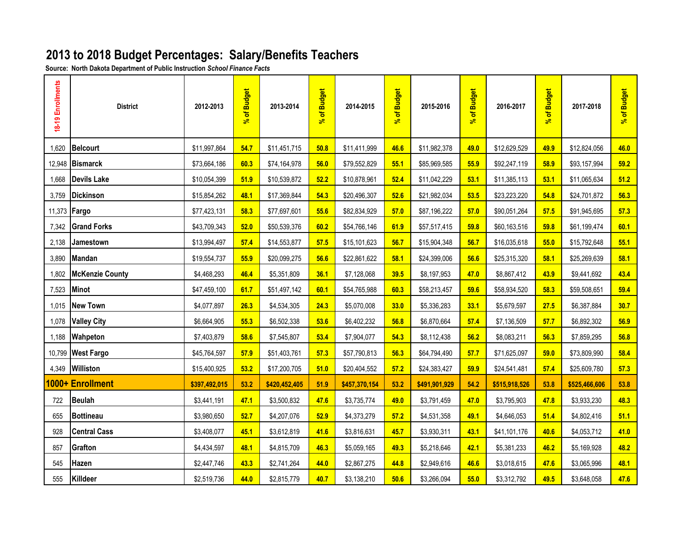## **2013 to 2018 Budget Percentages: Salary/Benefits Teachers**

**Source: North Dakota Department of Public Instruction** *School Finance Facts*

| 18-19 Enrollments   | <b>District</b>        | 2012-2013     | of Budget<br>$\mathbf{S}$ | 2013-2014     | of Budget<br>$\mathbf{r}$ | 2014-2015     | of Budget<br>$\mathbf{r}$ | 2015-2016     | of Budget<br>$\mathbf{S}$ | 2016-2017     | of Budget<br>$\mathbf{r}$ | 2017-2018     | of Budget<br>$\overline{\mathcal{S}}$ |
|---------------------|------------------------|---------------|---------------------------|---------------|---------------------------|---------------|---------------------------|---------------|---------------------------|---------------|---------------------------|---------------|---------------------------------------|
| 1,620               | <b>Belcourt</b>        | \$11,997,864  | 54.7                      | \$11,451,715  | 50.8                      | \$11,411,999  | 46.6                      | \$11,982,378  | 49.0                      | \$12,629,529  | 49.9                      | \$12,824,056  | 46.0                                  |
| 12,948              | <b>Bismarck</b>        | \$73,664,186  | 60.3                      | \$74,164,978  | 56.0                      | \$79,552,829  | 55.1                      | \$85,969,585  | 55.9                      | \$92,247,119  | 58.9                      | \$93,157,994  | 59.2                                  |
| 1,668               | <b>Devils Lake</b>     | \$10,054,399  | 51.9                      | \$10,539,872  | 52.2                      | \$10,878,961  | 52.4                      | \$11,042,229  | 53.1                      | \$11,385,113  | 53.1                      | \$11,065,634  | 51.2                                  |
| 3,759               | <b>Dickinson</b>       | \$15,854,262  | 48.1                      | \$17,369,844  | 54.3                      | \$20,496,307  | 52.6                      | \$21,982,034  | 53.5                      | \$23,223,220  | 54.8                      | \$24,701,872  | 56.3                                  |
| 11,373 <b>Fargo</b> |                        | \$77,423,131  | 58.3                      | \$77,697,601  | 55.6                      | \$82,834,929  | 57.0                      | \$87,196,222  | 57.0                      | \$90,051,264  | 57.5                      | \$91,945,695  | 57.3                                  |
|                     | 7,342 Grand Forks      | \$43,709,343  | 52.0                      | \$50,539,376  | 60.2                      | \$54,766,146  | 61.9                      | \$57,517,415  | 59.8                      | \$60,163,516  | 59.8                      | \$61,199,474  | 60.1                                  |
| 2,138               | Jamestown              | \$13,994,497  | 57.4                      | \$14,553,877  | 57.5                      | \$15,101,623  | 56.7                      | \$15,904,348  | 56.7                      | \$16,035,618  | 55.0                      | \$15,792,648  | 55.1                                  |
| 3,890               | Mandan                 | \$19,554,737  | 55.9                      | \$20,099,275  | 56.6                      | \$22,861,622  | 58.1                      | \$24,399,006  | 56.6                      | \$25,315,320  | 58.1                      | \$25,269,639  | 58.1                                  |
| 1,802               | <b>McKenzie County</b> | \$4,468,293   | 46.4                      | \$5,351,809   | 36.1                      | \$7,128,068   | 39.5                      | \$8,197,953   | 47.0                      | \$8,867,412   | 43.9                      | \$9,441,692   | 43.4                                  |
| 7,523               | Minot                  | \$47,459,100  | 61.7                      | \$51,497,142  | 60.1                      | \$54,765,988  | 60.3                      | \$58,213,457  | 59.6                      | \$58,934,520  | 58.3                      | \$59,508,651  | 59.4                                  |
| 1,015               | New Town               | \$4,077,897   | 26.3                      | \$4,534,305   | 24.3                      | \$5,070,008   | 33.0                      | \$5,336,283   | 33.1                      | \$5,679,597   | 27.5                      | \$6,387,884   | 30.7                                  |
| 1,078               | <b>Valley City</b>     | \$6,664,905   | 55.3                      | \$6,502,338   | 53.6                      | \$6,402,232   | 56.8                      | \$6,870,664   | 57.4                      | \$7,136,509   | 57.7                      | \$6,892,302   | 56.9                                  |
| 1,188               | <b>Wahpeton</b>        | \$7,403,879   | 58.6                      | \$7,545,807   | 53.4                      | \$7,904,077   | 54.3                      | \$8,112,438   | 56.2                      | \$8,083,211   | 56.3                      | \$7,859,295   | 56.8                                  |
|                     | 10,799 West Fargo      | \$45,764,597  | 57.9                      | \$51,403,761  | 57.3                      | \$57,790,813  | 56.3                      | \$64,794,490  | 57.7                      | \$71,625,097  | 59.0                      | \$73,809,990  | 58.4                                  |
| 4,349               | Williston              | \$15,400,925  | 53.2                      | \$17,200,705  | 51.0                      | \$20,404,552  | 57.2                      | \$24,383,427  | 59.9                      | \$24,541,481  | 57.4                      | \$25,609,780  | 57.3                                  |
|                     | 1000+ Enrollment       | \$397,492,015 | 53.2                      | \$420,452,405 | 51.9                      | \$457,370,154 | 53.2                      | \$491,901,929 | 54.2                      | \$515,918,526 | 53.8                      | \$525,466,606 | 53.8                                  |
| 722                 | <b>Beulah</b>          | \$3,441,191   | 47.1                      | \$3,500,832   | 47.6                      | \$3,735,774   | 49.0                      | \$3,791,459   | 47.0                      | \$3,795,903   | 47.8                      | \$3,933,230   | 48.3                                  |
| 655                 | <b>Bottineau</b>       | \$3,980,650   | 52.7                      | \$4,207,076   | 52.9                      | \$4,373,279   | 57.2                      | \$4,531,358   | 49.1                      | \$4,646,053   | 51.4                      | \$4,802,416   | 51.1                                  |
| 928                 | <b>Central Cass</b>    | \$3,408,077   | 45.1                      | \$3,612,819   | 41.6                      | \$3,816,631   | 45.7                      | \$3,930,311   | 43.1                      | \$41,101,176  | 40.6                      | \$4,053,712   | 41.0                                  |
| 857                 | Grafton                | \$4,434,597   | 48.1                      | \$4,815,709   | 46.3                      | \$5,059,165   | 49.3                      | \$5,218,646   | 42.1                      | \$5,381,233   | 46.2                      | \$5,169,928   | 48.2                                  |
| 545                 | Hazen                  | \$2,447,746   | 43.3                      | \$2,741,264   | 44.0                      | \$2,867,275   | 44.8                      | \$2,949,616   | 46.6                      | \$3,018,615   | 47.6                      | \$3,065,996   | 48.1                                  |
| 555                 | Killdeer               | \$2,519,736   | 44.0                      | \$2,815,779   | 40.7                      | \$3,138,210   | 50.6                      | \$3,266,094   | 55.0                      | \$3,312,792   | 49.5                      | \$3,648,058   | 47.6                                  |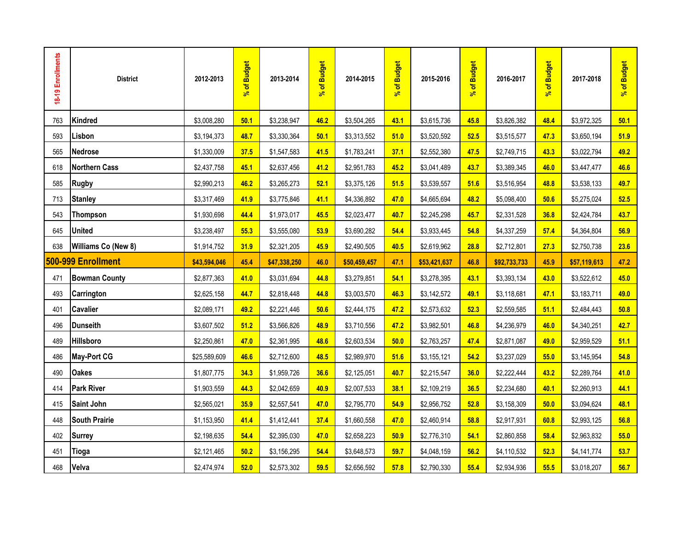| 18-19 Enrollments | <b>District</b>      | 2012-2013    | % of Budget | 2013-2014    | % of Budget | 2014-2015    | % of Budget | 2015-2016    | % of Budget | 2016-2017    | % of Budget | 2017-2018    | % of Budget |
|-------------------|----------------------|--------------|-------------|--------------|-------------|--------------|-------------|--------------|-------------|--------------|-------------|--------------|-------------|
| 763               | Kindred              | \$3,008,280  | 50.1        | \$3,238,947  | 46.2        | \$3,504,265  | 43.1        | \$3,615,736  | 45.8        | \$3,826,382  | 48.4        | \$3,972,325  | 50.1        |
| 593               | Lisbon               | \$3,194,373  | 48.7        | \$3,330,364  | 50.1        | \$3,313,552  | 51.0        | \$3,520,592  | 52.5        | \$3,515,577  | 47.3        | \$3,650,194  | 51.9        |
| 565               | <b>Nedrose</b>       | \$1,330,009  | 37.5        | \$1,547,583  | 41.5        | \$1,783,241  | 37.1        | \$2,552,380  | 47.5        | \$2,749,715  | 43.3        | \$3,022,794  | 49.2        |
| 618               | <b>Northern Cass</b> | \$2,437,758  | 45.1        | \$2,637,456  | 41.2        | \$2,951,783  | 45.2        | \$3,041,489  | 43.7        | \$3,389,345  | 46.0        | \$3,447,477  | 46.6        |
| 585               | <b>Rugby</b>         | \$2,990,213  | 46.2        | \$3,265,273  | 52.1        | \$3,375,126  | 51.5        | \$3,539,557  | 51.6        | \$3,516,954  | 48.8        | \$3,538,133  | 49.7        |
| 713               | <b>Stanley</b>       | \$3,317,469  | 41.9        | \$3,775,846  | 41.1        | \$4,336,892  | 47.0        | \$4,665,694  | 48.2        | \$5,098,400  | 50.6        | \$5,275,024  | 52.5        |
| 543               | <b>Thompson</b>      | \$1,930,698  | 44.4        | \$1,973,017  | 45.5        | \$2,023,477  | 40.7        | \$2,245,298  | 45.7        | \$2,331,528  | 36.8        | \$2,424,784  | 43.7        |
| 645               | <b>United</b>        | \$3,238,497  | 55.3        | \$3,555,080  | 53.9        | \$3,690,282  | 54.4        | \$3,933,445  | 54.8        | \$4,337,259  | 57.4        | \$4,364,804  | 56.9        |
| 638               | Williams Co (New 8)  | \$1,914,752  | 31.9        | \$2,321,205  | 45.9        | \$2,490,505  | 40.5        | \$2,619,962  | 28.8        | \$2,712,801  | 27.3        | \$2,750,738  | 23.6        |
|                   | 500-999 Enrollment   | \$43,594,046 | 45.4        | \$47,338,250 | 46.0        | \$50,459,457 | 47.1        | \$53,421,637 | 46.8        | \$92,733,733 | 45.9        | \$57,119,613 | 47.2        |
| 471               | <b>Bowman County</b> | \$2,877,363  | 41.0        | \$3,031,694  | 44.8        | \$3,279,851  | 54.1        | \$3,278,395  | 43.1        | \$3,393,134  | 43.0        | \$3,522,612  | 45.0        |
| 493               | <b>Carrington</b>    | \$2,625,158  | 44.7        | \$2,818,448  | 44.8        | \$3,003,570  | 46.3        | \$3,142,572  | 49.1        | \$3,118,681  | 47.1        | \$3,183,711  | 49.0        |
| 401               | <b>Cavalier</b>      | \$2,089,171  | 49.2        | \$2,221,446  | 50.6        | \$2,444,175  | 47.2        | \$2,573,632  | 52.3        | \$2,559,585  | 51.1        | \$2,484,443  | 50.8        |
| 496               | <b>Dunseith</b>      | \$3,607,502  | 51.2        | \$3,566,826  | 48.9        | \$3,710,556  | 47.2        | \$3,982,501  | 46.8        | \$4,236,979  | 46.0        | \$4,340,251  | 42.7        |
| 489               | Hillsboro            | \$2,250,861  | 47.0        | \$2,361,995  | 48.6        | \$2,603,534  | 50.0        | \$2,763,257  | 47.4        | \$2,871,087  | 49.0        | \$2,959,529  | 51.1        |
| 486               | <b>May-Port CG</b>   | \$25,589,609 | 46.6        | \$2,712,600  | 48.5        | \$2,989,970  | 51.6        | \$3,155,121  | 54.2        | \$3,237,029  | 55.0        | \$3,145,954  | 54.8        |
| 490               | <b>Oakes</b>         | \$1,807,775  | 34.3        | \$1,959,726  | 36.6        | \$2,125,051  | 40.7        | \$2,215,547  | 36.0        | \$2,222,444  | 43.2        | \$2,289,764  | 41.0        |
| 414               | <b>Park River</b>    | \$1,903,559  | 44.3        | \$2,042,659  | 40.9        | \$2,007,533  | 38.1        | \$2,109,219  | 36.5        | \$2,234,680  | 40.1        | \$2,260,913  | 44.1        |
| 415               | <b>Saint John</b>    | \$2,565,021  | 35.9        | \$2,557,541  | 47.0        | \$2,795,770  | 54.9        | \$2,956,752  | 52.8        | \$3,158,309  | 50.0        | \$3,094,624  | 48.1        |
| 448               | <b>South Prairie</b> | \$1,153,950  | 41.4        | \$1,412,441  | 37.4        | \$1,660,558  | 47.0        | \$2,460,914  | 58.8        | \$2,917,931  | 60.8        | \$2,993,125  | 56.8        |
| 402               | <b>Surrey</b>        | \$2,198,635  | 54.4        | \$2,395,030  | 47.0        | \$2,658,223  | 50.9        | \$2,776,310  | 54.1        | \$2,860,858  | 58.4        | \$2,963,832  | 55.0        |
| 451               | <b>Tioga</b>         | \$2,121,465  | 50.2        | \$3,156,295  | 54.4        | \$3,648,573  | 59.7        | \$4,048,159  | 56.2        | \$4,110,532  | 52.3        | \$4,141,774  | 53.7        |
| 468               | Velva                | \$2,474,974  | 52.0        | \$2,573,302  | 59.5        | \$2,656,592  | 57.8        | \$2,790,330  | 55.4        | \$2,934,936  | 55.5        | \$3,018,207  | 56.7        |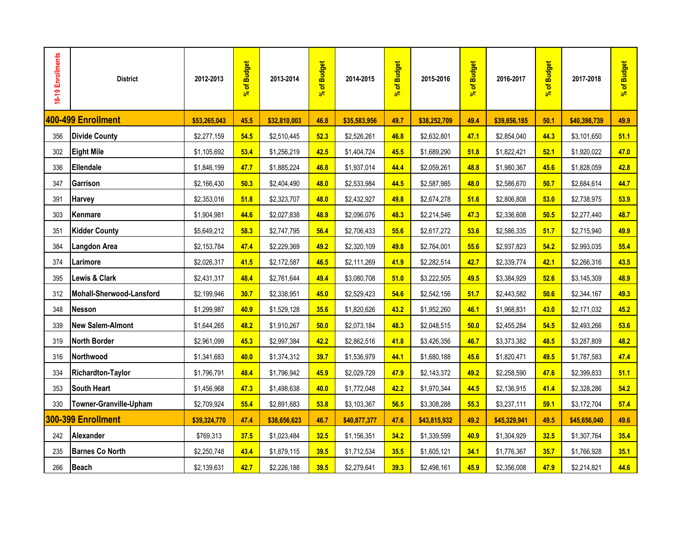| 18-19 Enrollments | <b>District</b>          | 2012-2013    | of Budget<br>$\mathbf{S}^{\mathbf{c}}$ | 2013-2014    | of Budget<br>$\mathbf{r}$ | 2014-2015    | of Budget<br>$\mathbf{r}$ | 2015-2016    | of Budget<br>$\overline{\mathcal{S}}$ | 2016-2017    | of Budget<br>ತ್ | 2017-2018    | % of Budget |
|-------------------|--------------------------|--------------|----------------------------------------|--------------|---------------------------|--------------|---------------------------|--------------|---------------------------------------|--------------|-----------------|--------------|-------------|
|                   | 400-499 Enrollment       | \$53,265,043 | 45.5                                   | \$32,810,003 | 46.8                      | \$35,583,956 | 49.7                      | \$38,252,709 | 49.4                                  | \$39,856,185 | 50.1            | \$40,398,739 | 49.9        |
| 356               | <b>Divide County</b>     | \$2,277,159  | 54.5                                   | \$2,510,445  | 52.3                      | \$2,526,261  | 46.8                      | \$2,632,801  | 47.1                                  | \$2,854,040  | 44.3            | \$3,101,650  | 51.1        |
| 302               | <b>Eight Mile</b>        | \$1,105,692  | 53.4                                   | \$1,256,219  | 42.5                      | \$1,404,724  | 45.5                      | \$1,689,290  | 51.8                                  | \$1,822,421  | 52.1            | \$1,920,022  | 47.0        |
| 336               | <b>Ellendale</b>         | \$1,846,199  | 47.7                                   | \$1,885,224  | 46.8                      | \$1,937,014  | 44.4                      | \$2,059,261  | 48.8                                  | \$1,980,367  | 45.6            | \$1,828,059  | 42.8        |
| 347               | Garrison                 | \$2,166,430  | 50.3                                   | \$2,404,490  | 48.0                      | \$2,533,984  | 44.5                      | \$2,587,985  | 48.0                                  | \$2,586,670  | 50.7            | \$2,684,614  | 44.7        |
| 391               | Harvey                   | \$2,353,016  | 51.8                                   | \$2,323,707  | 48.0                      | \$2,432,927  | 49.8                      | \$2,674,278  | 51.6                                  | \$2,806,808  | 53.0            | \$2,738,975  | 53.9        |
| 303               | Kenmare                  | \$1,904,981  | 44.6                                   | \$2,027,838  | 48.9                      | \$2,096,076  | 48.3                      | \$2,214,546  | 47.3                                  | \$2,336,608  | 50.5            | \$2,277,440  | 48.7        |
| 351               | <b>Kidder County</b>     | \$5,649,212  | 58.3                                   | \$2,747,795  | 56.4                      | \$2,706,433  | 55.6                      | \$2,617,272  | 53.6                                  | \$2,586,335  | 51.7            | \$2,715,940  | 49.9        |
| 384               | <b>Langdon Area</b>      | \$2,153,784  | 47.4                                   | \$2,229,369  | 49.2                      | \$2,320,109  | 49.8                      | \$2,764,001  | 55.6                                  | \$2,937,823  | 54.2            | \$2,993,035  | 55.4        |
| 374               | Larimore                 | \$2,026,317  | 41.5                                   | \$2,172,587  | 46.5                      | \$2,111,269  | 41.9                      | \$2,282,514  | 42.7                                  | \$2,339,774  | 42.1            | \$2,266,316  | 43.5        |
| 395               | <b>Lewis &amp; Clark</b> | \$2,431,317  | 48.4                                   | \$2,761,644  | 49.4                      | \$3,080,708  | 51.0                      | \$3,222,505  | 49.5                                  | \$3,384,929  | 52.6            | \$3,145,309  | 48.9        |
| 312               | Mohall-Sherwood-Lansford | \$2,199,946  | 30.7                                   | \$2,338,951  | 45.0                      | \$2,529,423  | 54.6                      | \$2,542,156  | 51.7                                  | \$2,443,582  | 50.6            | \$2,344,167  | 49.3        |
| 348               | <b>Nesson</b>            | \$1,299,987  | 40.9                                   | \$1,529,128  | 35.6                      | \$1,820,626  | 43.2                      | \$1,952,260  | 46.1                                  | \$1,968,831  | 43.0            | \$2,171,032  | 45.2        |
| 339               | <b>New Salem-Almont</b>  | \$1,644,265  | 48.2                                   | \$1,910,267  | 50.0                      | \$2,073,184  | 48.3                      | \$2,048,515  | 50.0                                  | \$2,455,284  | 54.5            | \$2,493,266  | 53.6        |
| 319               | <b>North Border</b>      | \$2,961,099  | 45.3                                   | \$2,997,384  | 42.2                      | \$2,862,516  | 41.8                      | \$3,426,356  | 46.7                                  | \$3,373,382  | 48.5            | \$3,287,809  | 48.2        |
| 316               | Northwood                | \$1,341,683  | 40.0                                   | \$1,374,312  | 39.7                      | \$1,536,979  | 44.1                      | \$1,680,188  | 45.6                                  | \$1,820,471  | 49.5            | \$1,787,583  | 47.4        |
| 334               | <b>Richardton-Taylor</b> | \$1,796,791  | 48.4                                   | \$1,796,942  | 45.9                      | \$2,029,729  | 47.9                      | \$2,143,372  | 49.2                                  | \$2,258,590  | 47.6            | \$2,399,833  | 51.1        |
| 353               | <b>South Heart</b>       | \$1,456,968  | 47.3                                   | \$1,498,638  | 40.0                      | \$1,772,048  | 42.2                      | \$1,970,344  | 44.5                                  | \$2,136,915  | 41.4            | \$2,328,286  | 54.2        |
| 330               | Towner-Granville-Upham   | \$2,709,924  | 55.4                                   | \$2,891,683  | 53.8                      | \$3,103,367  | 56.5                      | \$3,308,288  | 55.3                                  | \$3,237,111  | 59.1            | \$3,172,704  | 57.4        |
|                   | 300-399 Enrollment       | \$39,324,770 | 47.4                                   | \$38,656,623 | 46.7                      | \$40,877,377 | 47.6                      | \$43,815,932 | 49.2                                  | \$45,329,941 | 49.5            | \$45,656,040 | 49.6        |
| 242               | Alexander                | \$769,313    | 37.5                                   | \$1,023,484  | 32.5                      | \$1,156,351  | 34.2                      | \$1,339,599  | 40.9                                  | \$1,304,929  | 32.5            | \$1,307,764  | 35.4        |
| 235               | <b>Barnes Co North</b>   | \$2,250,748  | 43.4                                   | \$1,879,115  | 39.5                      | \$1,712,534  | 35.5                      | \$1,605,121  | 34.1                                  | \$1,776,367  | 35.7            | \$1,766,928  | 35.1        |
| 266               | Beach                    | \$2,139,631  | 42.7                                   | \$2,226,188  | 39.5                      | \$2,279,641  | 39.3                      | \$2,498,161  | 45.9                                  | \$2,356,008  | 47.9            | \$2,214,821  | 44.6        |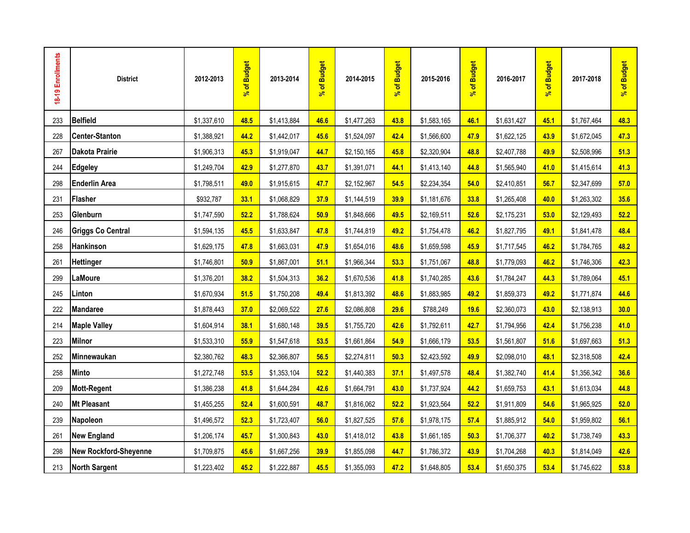| 18-19 Enrollments | <b>District</b>              | 2012-2013   | % of Budget | 2013-2014   | % of Budget | 2014-2015   | % of Budget | 2015-2016   | % of Budget | 2016-2017   | % of Budget | 2017-2018   | % of Budget |
|-------------------|------------------------------|-------------|-------------|-------------|-------------|-------------|-------------|-------------|-------------|-------------|-------------|-------------|-------------|
| 233               | Belfield                     | \$1,337,610 | 48.5        | \$1,413,884 | 46.6        | \$1,477,263 | 43.8        | \$1,583,165 | 46.1        | \$1,631,427 | 45.1        | \$1,767,464 | 48.3        |
| 228               | <b>Center-Stanton</b>        | \$1,388,921 | 44.2        | \$1,442,017 | 45.6        | \$1,524,097 | 42.4        | \$1,566,600 | 47.9        | \$1,622,125 | 43.9        | \$1,672,045 | 47.3        |
| 267               | <b>Dakota Prairie</b>        | \$1,906,313 | 45.3        | \$1,919,047 | 44.7        | \$2,150,165 | 45.8        | \$2,320,904 | 48.8        | \$2,407,788 | 49.9        | \$2,508,996 | 51.3        |
| 244               | <b>Edgeley</b>               | \$1,249,704 | 42.9        | \$1,277,870 | 43.7        | \$1,391,071 | 44.1        | \$1,413,140 | 44.8        | \$1,565,940 | 41.0        | \$1,415,614 | 41.3        |
| 298               | <b>Enderlin Area</b>         | \$1,798,511 | 49.0        | \$1,915,615 | 47.7        | \$2,152,967 | 54.5        | \$2,234,354 | 54.0        | \$2,410,851 | 56.7        | \$2,347,699 | 57.0        |
| 231               | <b>Flasher</b>               | \$932,787   | 33.1        | \$1,068,829 | 37.9        | \$1,144,519 | 39.9        | \$1,181,676 | 33.8        | \$1,265,408 | 40.0        | \$1,263,302 | 35.6        |
| 253               | Glenburn                     | \$1,747,590 | 52.2        | \$1,788,624 | 50.9        | \$1,848,666 | 49.5        | \$2,169,511 | 52.6        | \$2,175,231 | 53.0        | \$2,129,493 | 52.2        |
| 246               | <b>Griggs Co Central</b>     | \$1,594,135 | 45.5        | \$1,633,847 | 47.8        | \$1,744,819 | 49.2        | \$1,754,478 | 46.2        | \$1,827,795 | 49.1        | \$1,841,478 | 48.4        |
| 258               | <b>Hankinson</b>             | \$1,629,175 | 47.8        | \$1,663,031 | 47.9        | \$1,654,016 | 48.6        | \$1,659,598 | 45.9        | \$1,717,545 | 46.2        | \$1,784,765 | 48.2        |
| 261               | <b>Hettinger</b>             | \$1,746,801 | 50.9        | \$1,867,001 | 51.1        | \$1,966,344 | 53.3        | \$1,751,067 | 48.8        | \$1,779,093 | 46.2        | \$1,746,306 | 42.3        |
| 299               | <b>LaMoure</b>               | \$1,376,201 | 38.2        | \$1,504,313 | 36.2        | \$1,670,536 | 41.8        | \$1,740,285 | 43.6        | \$1,784,247 | 44.3        | \$1,789,064 | 45.1        |
| 245               | Linton                       | \$1,670,934 | 51.5        | \$1,750,208 | 49.4        | \$1,813,392 | 48.6        | \$1,883,985 | 49.2        | \$1,859,373 | 49.2        | \$1,771,874 | 44.6        |
| 222               | <b>Mandaree</b>              | \$1,878,443 | 37.0        | \$2,069,522 | 27.6        | \$2,086,808 | 29.6        | \$788,249   | 19.6        | \$2,360,073 | 43.0        | \$2,138,913 | 30.0        |
| 214               | <b>Maple Valley</b>          | \$1,604,914 | 38.1        | \$1,680,148 | 39.5        | \$1,755,720 | 42.6        | \$1,792,611 | 42.7        | \$1,794,956 | 42.4        | \$1,756,238 | 41.0        |
| 223               | <b>Milnor</b>                | \$1,533,310 | 55.9        | \$1,547,618 | 53.5        | \$1,661,864 | 54.9        | \$1,666,179 | 53.5        | \$1,561,807 | 51.6        | \$1,697,663 | 51.3        |
| 252               | Minnewaukan                  | \$2,380,762 | 48.3        | \$2,366,807 | 56.5        | \$2,274,811 | 50.3        | \$2,423,592 | 49.9        | \$2,098,010 | 48.1        | \$2,318,508 | 42.4        |
| 258               | <b>Minto</b>                 | \$1,272,748 | 53.5        | \$1,353,104 | 52.2        | \$1,440,383 | 37.1        | \$1,497,578 | 48.4        | \$1,382,740 | 41.4        | \$1,356,342 | 36.6        |
| 209               | <b>Mott-Regent</b>           | \$1,386,238 | 41.8        | \$1,644,284 | 42.6        | \$1,664,791 | 43.0        | \$1,737,924 | 44.2        | \$1,659,753 | 43.1        | \$1,613,034 | 44.8        |
| 240               | <b>Mt Pleasant</b>           | \$1,455,255 | 52.4        | \$1,600,591 | 48.7        | \$1,816,062 | 52.2        | \$1,923,564 | 52.2        | \$1,911,809 | 54.6        | \$1,965,925 | 52.0        |
| 239               | Napoleon                     | \$1,496,572 | 52.3        | \$1,723,407 | 56.0        | \$1,827,525 | 57.6        | \$1,978,175 | 57.4        | \$1,885,912 | 54.0        | \$1,959,802 | 56.1        |
| 261               | <b>New England</b>           | \$1,206,174 | 45.7        | \$1,300,843 | 43.0        | \$1,418,012 | 43.8        | \$1,661,185 | 50.3        | \$1,706,377 | 40.2        | \$1,738,749 | 43.3        |
| 298               | <b>New Rockford-Sheyenne</b> | \$1,709,875 | 45.6        | \$1,667,256 | 39.9        | \$1,855,098 | 44.7        | \$1,786,372 | 43.9        | \$1,704,268 | 40.3        | \$1,814,049 | 42.6        |
| 213               | <b>North Sargent</b>         | \$1,223,402 | 45.2        | \$1,222,887 | 45.5        | \$1,355,093 | 47.2        | \$1,648,805 | 53.4        | \$1,650,375 | 53.4        | \$1,745,622 | 53.8        |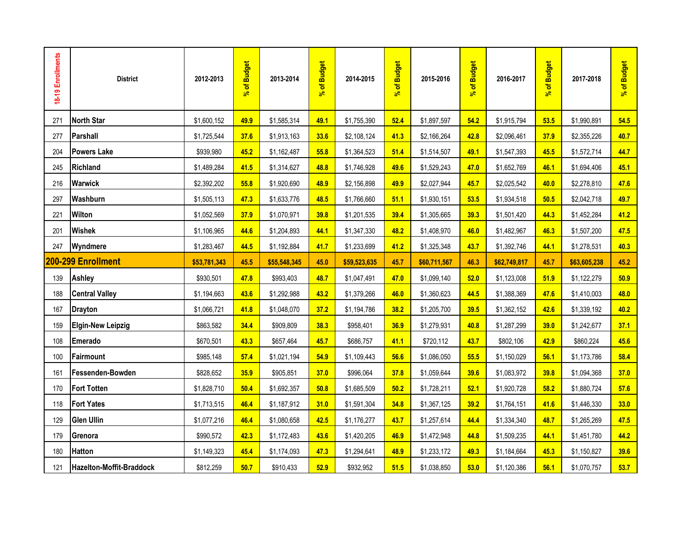| 18-19 Enrollments | <b>District</b>          | 2012-2013    | of Budget<br>ತ್ | 2013-2014    | of Budget<br>$\overline{\mathbf{r}}$ | 2014-2015    | % of Budget | 2015-2016    | % of Budget | 2016-2017    | % of Budget | 2017-2018    | % of Budget |
|-------------------|--------------------------|--------------|-----------------|--------------|--------------------------------------|--------------|-------------|--------------|-------------|--------------|-------------|--------------|-------------|
| 271               | <b>North Star</b>        | \$1,600,152  | 49.9            | \$1,585,314  | 49.1                                 | \$1,755,390  | 52.4        | \$1,897,597  | 54.2        | \$1,915,794  | 53.5        | \$1,990,891  | 54.5        |
| 277               | <b>Parshall</b>          | \$1,725,544  | 37.6            | \$1,913,163  | 33.6                                 | \$2,108,124  | 41.3        | \$2,166,264  | 42.8        | \$2,096,461  | 37.9        | \$2,355,226  | 40.7        |
| 204               | <b>Powers Lake</b>       | \$939,980    | 45.2            | \$1,162,487  | 55.8                                 | \$1,364,523  | 51.4        | \$1,514,507  | 49.1        | \$1,547,393  | 45.5        | \$1,572,714  | 44.7        |
| 245               | <b>Richland</b>          | \$1,489,284  | 41.5            | \$1,314,627  | 48.8                                 | \$1,746,928  | 49.6        | \$1,529,243  | 47.0        | \$1,652,769  | 46.1        | \$1,694,406  | 45.1        |
| 216               | <b>Warwick</b>           | \$2,392,202  | 55.8            | \$1,920,690  | 48.9                                 | \$2,156,898  | 49.9        | \$2,027,944  | 45.7        | \$2,025,542  | 40.0        | \$2,278,810  | 47.6        |
| 297               | Washburn                 | \$1,505,113  | 47.3            | \$1,633,776  | 48.5                                 | \$1,766,660  | 51.1        | \$1,930,151  | 53.5        | \$1,934,518  | 50.5        | \$2,042,718  | 49.7        |
| 221               | <b>Wilton</b>            | \$1,052,569  | 37.9            | \$1,070,971  | 39.8                                 | \$1,201,535  | 39.4        | \$1,305,665  | 39.3        | \$1,501,420  | 44.3        | \$1,452,284  | 41.2        |
| 201               | <b>Wishek</b>            | \$1,106,965  | 44.6            | \$1,204,893  | 44.1                                 | \$1,347,330  | 48.2        | \$1,408,970  | 46.0        | \$1,482,967  | 46.3        | \$1,507,200  | 47.5        |
| 247               | Wyndmere                 | \$1,283,467  | 44.5            | \$1,192,884  | 41.7                                 | \$1,233,699  | 41.2        | \$1,325,348  | 43.7        | \$1,392,746  | 44.1        | \$1,278,531  | 40.3        |
|                   | 200-299 Enrollment       | \$53,781,343 | 45.5            | \$55,548,345 | 45.0                                 | \$59,523,635 | 45.7        | \$60,711,567 | 46.3        | \$62,749,817 | 45.7        | \$63,605,238 | 45.2        |
| 139               | Ashley                   | \$930,501    | 47.8            | \$993,403    | 48.7                                 | \$1,047,491  | 47.0        | \$1,099,140  | 52.0        | \$1,123,008  | 51.9        | \$1,122,279  | 50.9        |
| 188               | <b>Central Valley</b>    | \$1,194,663  | 43.6            | \$1,292,988  | 43.2                                 | \$1,379,266  | 46.0        | \$1,360,623  | 44.5        | \$1,388,369  | 47.6        | \$1,410,003  | 48.0        |
| 167               | <b>Drayton</b>           | \$1,066,721  | 41.8            | \$1,048,070  | 37.2                                 | \$1,194,786  | 38.2        | \$1,205,700  | 39.5        | \$1,362,152  | 42.6        | \$1,339,192  | 40.2        |
| 159               | <b>Elgin-New Leipzig</b> | \$863,582    | 34.4            | \$909,809    | 38.3                                 | \$958,401    | 36.9        | \$1,279,931  | 40.8        | \$1,287,299  | 39.0        | \$1,242,677  | 37.1        |
| 108               | Emerado                  | \$670,501    | 43.3            | \$657,464    | 45.7                                 | \$686,757    | 41.1        | \$720,112    | 43.7        | \$802,106    | 42.9        | \$860,224    | 45.6        |
| 100               | Fairmount                | \$985,148    | 57.4            | \$1,021,194  | 54.9                                 | \$1,109,443  | 56.6        | \$1,086,050  | 55.5        | \$1,150,029  | 56.1        | \$1,173,786  | 58.4        |
| 161               | Fessenden-Bowden         | \$828,652    | 35.9            | \$905,851    | 37.0                                 | \$996,064    | 37.8        | \$1,059,644  | 39.6        | \$1,083,972  | 39.8        | \$1,094,368  | 37.0        |
| 170               | <b>Fort Totten</b>       | \$1,828,710  | 50.4            | \$1,692,357  | 50.8                                 | \$1,685,509  | 50.2        | \$1,728,211  | 52.1        | \$1,920,728  | 58.2        | \$1,880,724  | 57.6        |
| 118               | <b>Fort Yates</b>        | \$1,713,515  | 46.4            | \$1,187,912  | 31.0                                 | \$1,591,304  | 34.8        | \$1,367,125  | 39.2        | \$1,764,151  | 41.6        | \$1,446,330  | 33.0        |
| 129               | <b>Glen Ullin</b>        | \$1,077,216  | 46.4            | \$1,080,658  | 42.5                                 | \$1,176,277  | 43.7        | \$1,257,614  | 44.4        | \$1,334,340  | 48.7        | \$1,265,269  | 47.5        |
| 179               | Grenora                  | \$990,572    | 42.3            | \$1,172,483  | 43.6                                 | \$1,420,205  | 46.9        | \$1,472,948  | 44.8        | \$1,509,235  | 44.1        | \$1,451,780  | 44.2        |
| 180               | <b>Hatton</b>            | \$1,149,323  | 45.4            | \$1,174,093  | 47.3                                 | \$1,294,641  | 48.9        | \$1,233,172  | 49.3        | \$1,184,664  | 45.3        | \$1,150,827  | 39.6        |
| 121               | Hazelton-Moffit-Braddock | \$812,259    | 50.7            | \$910,433    | 52.9                                 | \$932,952    | 51.5        | \$1,038,850  | 53.0        | \$1,120,386  | 56.1        | \$1,070,757  | 53.7        |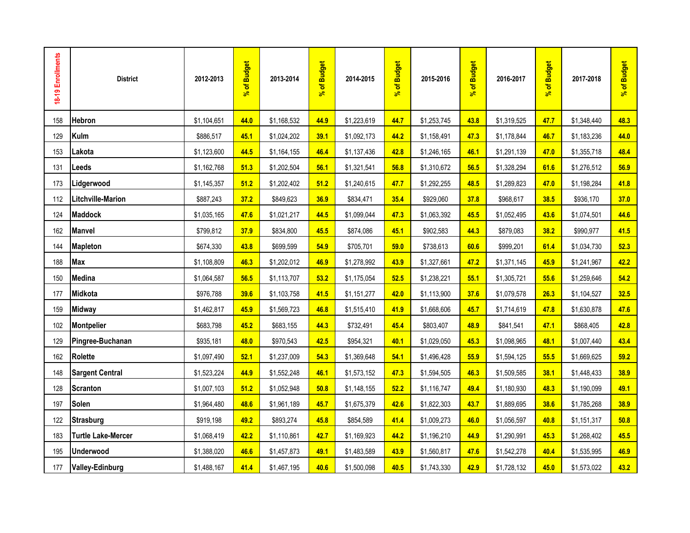| 18-19 Enrollments | <b>District</b>           | 2012-2013   | % of Budget | 2013-2014   | % of Budget | 2014-2015   | % of Budget | 2015-2016   | % of Budget | 2016-2017   | % of Budget | 2017-2018   | % of Budget |
|-------------------|---------------------------|-------------|-------------|-------------|-------------|-------------|-------------|-------------|-------------|-------------|-------------|-------------|-------------|
| 158               | Hebron                    | \$1,104,651 | 44.0        | \$1,168,532 | 44.9        | \$1,223,619 | 44.7        | \$1,253,745 | 43.8        | \$1,319,525 | 47.7        | \$1,348,440 | 48.3        |
| 129               | Kulm                      | \$886,517   | 45.1        | \$1,024,202 | 39.1        | \$1,092,173 | 44.2        | \$1,158,491 | 47.3        | \$1,178,844 | 46.7        | \$1,183,236 | 44.0        |
| 153               | Lakota                    | \$1,123,600 | 44.5        | \$1,164,155 | 46.4        | \$1,137,436 | 42.8        | \$1,246,165 | 46.1        | \$1,291,139 | 47.0        | \$1,355,718 | 48.4        |
| 131               | <b>Leeds</b>              | \$1,162,768 | 51.3        | \$1,202,504 | 56.1        | \$1,321,541 | 56.8        | \$1,310,672 | 56.5        | \$1,328,294 | 61.6        | \$1,276,512 | 56.9        |
| 173               | Lidgerwood                | \$1,145,357 | 51.2        | \$1,202,402 | 51.2        | \$1,240,615 | 47.7        | \$1,292,255 | 48.5        | \$1,289,823 | 47.0        | \$1,198,284 | 41.8        |
| 112               | <b>Litchville-Marion</b>  | \$887,243   | 37.2        | \$849,623   | 36.9        | \$834,471   | 35.4        | \$929,060   | 37.8        | \$968,617   | 38.5        | \$936,170   | 37.0        |
| 124               | <b>Maddock</b>            | \$1,035,165 | 47.6        | \$1,021,217 | 44.5        | \$1,099,044 | 47.3        | \$1,063,392 | 45.5        | \$1,052,495 | 43.6        | \$1,074,501 | 44.6        |
| 162               | <b>Manvel</b>             | \$799,812   | 37.9        | \$834,800   | 45.5        | \$874,086   | 45.1        | \$902,583   | 44.3        | \$879,083   | 38.2        | \$990,977   | 41.5        |
| 144               | <b>Mapleton</b>           | \$674,330   | 43.8        | \$699,599   | 54.9        | \$705,701   | 59.0        | \$738,613   | 60.6        | \$999,201   | 61.4        | \$1,034,730 | 52.3        |
| 188               | <b>Max</b>                | \$1,108,809 | 46.3        | \$1,202,012 | 46.9        | \$1,278,992 | 43.9        | \$1,327,661 | 47.2        | \$1,371,145 | 45.9        | \$1,241,967 | 42.2        |
| 150               | Medina                    | \$1,064,587 | 56.5        | \$1,113,707 | 53.2        | \$1,175,054 | 52.5        | \$1,238,221 | 55.1        | \$1,305,721 | 55.6        | \$1,259,646 | 54.2        |
| 177               | Midkota                   | \$976,788   | 39.6        | \$1,103,758 | 41.5        | \$1,151,277 | 42.0        | \$1,113,900 | 37.6        | \$1,079,578 | 26.3        | \$1,104,527 | 32.5        |
| 159               | <b>Midway</b>             | \$1,462,817 | 45.9        | \$1,569,723 | 46.8        | \$1,515,410 | 41.9        | \$1,668,606 | 45.7        | \$1,714,619 | 47.8        | \$1,630,878 | 47.6        |
| 102               | <b>Montpelier</b>         | \$683,798   | 45.2        | \$683,155   | 44.3        | \$732,491   | 45.4        | \$803,407   | 48.9        | \$841,541   | 47.1        | \$868,405   | 42.8        |
| 129               | Pingree-Buchanan          | \$935,181   | 48.0        | \$970,543   | 42.5        | \$954,321   | 40.1        | \$1,029,050 | 45.3        | \$1,098,965 | 48.1        | \$1,007,440 | 43.4        |
| 162               | Rolette                   | \$1,097,490 | 52.1        | \$1,237,009 | 54.3        | \$1,369,648 | 54.1        | \$1,496,428 | 55.9        | \$1,594,125 | 55.5        | \$1,669,625 | 59.2        |
| 148               | <b>Sargent Central</b>    | \$1,523,224 | 44.9        | \$1,552,248 | 46.1        | \$1,573,152 | 47.3        | \$1,594,505 | 46.3        | \$1,509,585 | 38.1        | \$1,448,433 | 38.9        |
| 128               | <b>Scranton</b>           | \$1,007,103 | 51.2        | \$1,052,948 | 50.8        | \$1,148,155 | 52.2        | \$1,116,747 | 49.4        | \$1,180,930 | 48.3        | \$1,190,099 | 49.1        |
| 197               | <b>Solen</b>              | \$1,964,480 | 48.6        | \$1,961,189 | 45.7        | \$1,675,379 | 42.6        | \$1,822,303 | 43.7        | \$1,889,695 | 38.6        | \$1,785,268 | 38.9        |
| 122               | <b>Strasburg</b>          | \$919,198   | 49.2        | \$893,274   | 45.8        | \$854,589   | 41.4        | \$1,009,273 | 46.0        | \$1,056,597 | 40.8        | \$1,151,317 | 50.8        |
| 183               | <b>Turtle Lake-Mercer</b> | \$1,068,419 | 42.2        | \$1,110,861 | 42.7        | \$1,169,923 | 44.2        | \$1,196,210 | 44.9        | \$1,290,991 | 45.3        | \$1,268,402 | 45.5        |
| 195               | <b>Underwood</b>          | \$1,388,020 | 46.6        | \$1,457,873 | 49.1        | \$1,483,589 | 43.9        | \$1,560,817 | 47.6        | \$1,542,278 | 40.4        | \$1,535,995 | 46.9        |
| 177               | <b>Valley-Edinburg</b>    | \$1,488,167 | 41.4        | \$1,467,195 | 40.6        | \$1,500,098 | 40.5        | \$1,743,330 | 42.9        | \$1,728,132 | 45.0        | \$1,573,022 | 43.2        |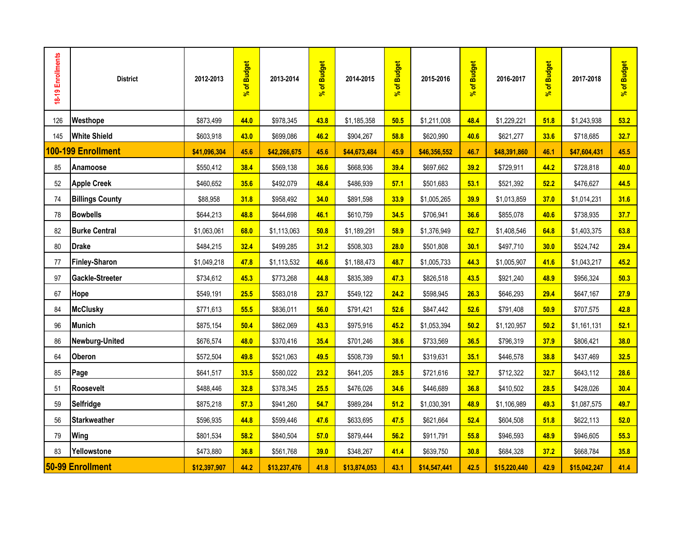| 18-19 Enrollments | <b>District</b>        | 2012-2013    | % of Budget | 2013-2014    | % of Budget | 2014-2015    | % of Budget | 2015-2016    | % of Budget | 2016-2017    | % of Budget | 2017-2018    | % of Budget |
|-------------------|------------------------|--------------|-------------|--------------|-------------|--------------|-------------|--------------|-------------|--------------|-------------|--------------|-------------|
| 126               | Westhope               | \$873,499    | 44.0        | \$978,345    | 43.8        | \$1,185,358  | 50.5        | \$1,211,008  | 48.4        | \$1,229,221  | 51.8        | \$1,243,938  | 53.2        |
| 145               | <b>White Shield</b>    | \$603,918    | 43.0        | \$699,086    | 46.2        | \$904,267    | 58.8        | \$620,990    | 40.6        | \$621,277    | 33.6        | \$718,685    | 32.7        |
|                   | 100-199 Enrollment     | \$41,096,304 | 45.6        | \$42,266,675 | 45.6        | \$44,673,484 | 45.9        | \$46,356,552 | 46.7        | \$48,391,860 | 46.1        | \$47,604,431 | 45.5        |
| 85                | Anamoose               | \$550,412    | 38.4        | \$569,138    | 36.6        | \$668,936    | 39.4        | \$697,662    | 39.2        | \$729,911    | 44.2        | \$728,818    | 40.0        |
| 52                | <b>Apple Creek</b>     | \$460,652    | 35.6        | \$492,079    | 48.4        | \$486,939    | 57.1        | \$501,683    | 53.1        | \$521,392    | 52.2        | \$476,627    | 44.5        |
| 74                | <b>Billings County</b> | \$88,958     | 31.8        | \$958,492    | 34.0        | \$891,598    | 33.9        | \$1,005,265  | 39.9        | \$1,013,859  | 37.0        | \$1,014,231  | 31.6        |
| 78                | <b>Bowbells</b>        | \$644,213    | 48.8        | \$644,698    | 46.1        | \$610,759    | 34.5        | \$706,941    | 36.6        | \$855,078    | 40.6        | \$738,935    | 37.7        |
| 82                | <b>Burke Central</b>   | \$1,063,061  | 68.0        | \$1,113,063  | 50.8        | \$1,189,291  | 58.9        | \$1,376,949  | 62.7        | \$1,408,546  | 64.8        | \$1,403,375  | 63.8        |
| 80                | <b>Drake</b>           | \$484,215    | 32.4        | \$499,285    | 31.2        | \$508,303    | 28.0        | \$501,808    | 30.1        | \$497,710    | 30.0        | \$524,742    | 29.4        |
| 77                | <b>Finley-Sharon</b>   | \$1,049,218  | 47.8        | \$1,113,532  | 46.6        | \$1,188,473  | 48.7        | \$1,005,733  | 44.3        | \$1,005,907  | 41.6        | \$1,043,217  | 45.2        |
| 97                | Gackle-Streeter        | \$734,612    | 45.3        | \$773,268    | 44.8        | \$835,389    | 47.3        | \$826,518    | 43.5        | \$921,240    | 48.9        | \$956,324    | 50.3        |
| 67                | Hope                   | \$549,191    | 25.5        | \$583,018    | 23.7        | \$549,122    | 24.2        | \$598,945    | 26.3        | \$646,293    | 29.4        | \$647,167    | 27.9        |
| 84                | <b>McClusky</b>        | \$771,613    | 55.5        | \$836,011    | 56.0        | \$791,421    | 52.6        | \$847,442    | 52.6        | \$791,408    | 50.9        | \$707,575    | 42.8        |
| 96                | <b>Munich</b>          | \$875,154    | 50.4        | \$862,069    | 43.3        | \$975,916    | 45.2        | \$1,053,394  | 50.2        | \$1,120,957  | 50.2        | \$1,161,131  | 52.1        |
| 86                | Newburg-United         | \$676,574    | 48.0        | \$370,416    | 35.4        | \$701,246    | 38.6        | \$733,569    | 36.5        | \$796,319    | 37.9        | \$806,421    | 38.0        |
| 64                | Oberon                 | \$572,504    | 49.8        | \$521,063    | 49.5        | \$508,739    | 50.1        | \$319,631    | 35.1        | \$446,578    | 38.8        | \$437,469    | 32.5        |
| 85                | Page                   | \$641,517    | 33.5        | \$580,022    | 23.2        | \$641,205    | 28.5        | \$721,616    | 32.7        | \$712,322    | 32.7        | \$643,112    | 28.6        |
| 51                | <b>Roosevelt</b>       | \$488,446    | 32.8        | \$378,345    | 25.5        | \$476,026    | 34.6        | \$446,689    | 36.8        | \$410,502    | 28.5        | \$428,026    | 30.4        |
| 59                | <b>Selfridge</b>       | \$875,218    | 57.3        | \$941,260    | 54.7        | \$989,284    | 51.2        | \$1,030,391  | 48.9        | \$1,106,989  | 49.3        | \$1,087,575  | 49.7        |
| 56                | <b>Starkweather</b>    | \$596,935    | 44.8        | \$599,446    | 47.6        | \$633,695    | 47.5        | \$621,664    | 52.4        | \$604,508    | 51.8        | \$622,113    | 52.0        |
| 79                | <b>Wing</b>            | \$801,534    | 58.2        | \$840,504    | 57.0        | \$879,444    | 56.2        | \$911,791    | 55.8        | \$946,593    | 48.9        | \$946,605    | 55.3        |
| 83                | Yellowstone            | \$473,880    | 36.8        | \$561,768    | 39.0        | \$348,267    | 41.4        | \$639,750    | 30.8        | \$684,328    | 37.2        | \$668,784    | 35.8        |
|                   | 50-99 Enrollment       | \$12,397,907 | 44.2        | \$13,237,476 | 41.8        | \$13,874,053 | 43.1        | \$14,547,441 | 42.5        | \$15,220,440 | 42.9        | \$15,042,247 | 41.4        |